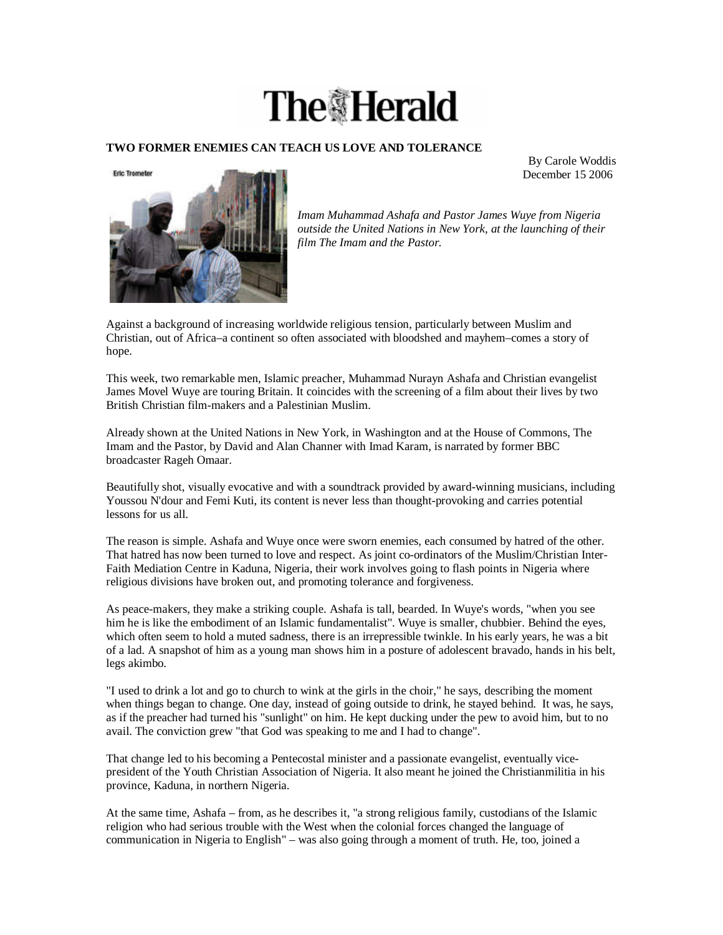## **The Herald**

## **TWO FORMER ENEMIES CAN TEACH US LOVE AND TOLERANCE**

By Carole Woddis December 15 2006



*Imam Muhammad Ashafa and Pastor James Wuye from Nigeria outside the United Nations in New York, at the launching of their film The Imam and the Pastor.* 

Against a background of increasing worldwide religious tension, particularly between Muslim and Christian, out of Africa–a continent so often associated with bloodshed and mayhem–comes a story of hope.

This week, two remarkable men, Islamic preacher, Muhammad Nurayn Ashafa and Christian evangelist James Movel Wuye are touring Britain. It coincides with the screening of a film about their lives by two British Christian film-makers and a Palestinian Muslim.

Already shown at the United Nations in New York, in Washington and at the House of Commons, The Imam and the Pastor, by David and Alan Channer with Imad Karam, is narrated by former BBC broadcaster Rageh Omaar.

Beautifully shot, visually evocative and with a soundtrack provided by award-winning musicians, including Youssou N'dour and Femi Kuti, its content is never less than thought-provoking and carries potential lessons for us all.

The reason is simple. Ashafa and Wuye once were sworn enemies, each consumed by hatred of the other. That hatred has now been turned to love and respect. As joint co-ordinators of the Muslim/Christian Inter-Faith Mediation Centre in Kaduna, Nigeria, their work involves going to flash points in Nigeria where religious divisions have broken out, and promoting tolerance and forgiveness.

As peace-makers, they make a striking couple. Ashafa is tall, bearded. In Wuye's words, "when you see him he is like the embodiment of an Islamic fundamentalist". Wuye is smaller, chubbier. Behind the eyes, which often seem to hold a muted sadness, there is an irrepressible twinkle. In his early years, he was a bit of a lad. A snapshot of him as a young man shows him in a posture of adolescent bravado, hands in his belt, legs akimbo.

"I used to drink a lot and go to church to wink at the girls in the choir," he says, describing the moment when things began to change. One day, instead of going outside to drink, he stayed behind. It was, he says, as if the preacher had turned his "sunlight" on him. He kept ducking under the pew to avoid him, but to no avail. The conviction grew "that God was speaking to me and I had to change".

That change led to his becoming a Pentecostal minister and a passionate evangelist, eventually vicepresident of the Youth Christian Association of Nigeria. It also meant he joined the Christianmilitia in his province, Kaduna, in northern Nigeria.

At the same time, Ashafa – from, as he describes it, "a strong religious family, custodians of the Islamic religion who had serious trouble with the West when the colonial forces changed the language of communication in Nigeria to English" – was also going through a moment of truth. He, too, joined a